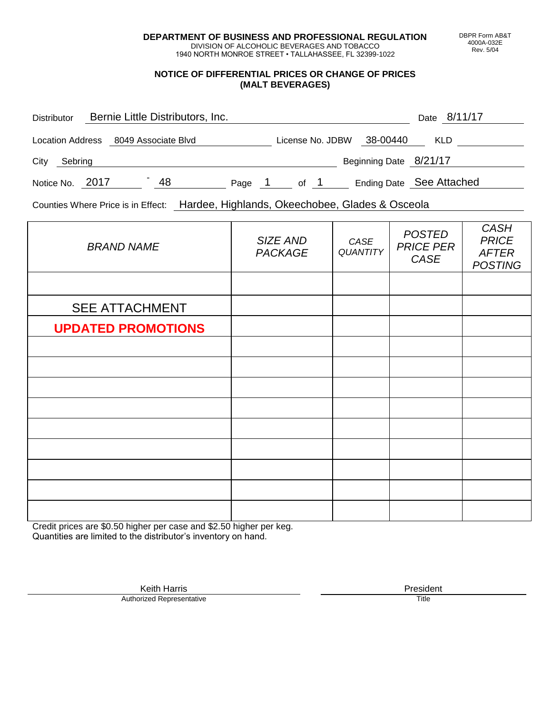**DEPARTMENT OF BUSINESS AND PROFESSIONAL REGULATION** DIVISION OF ALCOHOLIC BEVERAGES AND TOBACCO

1940 NORTH MONROE STREET • TALLAHASSEE, FL 32399-1022

### **NOTICE OF DIFFERENTIAL PRICES OR CHANGE OF PRICES (MALT BEVERAGES)**

| <b>Distributor</b> |                                      | Bernie Little Distributors, Inc. |        |                  |                        | Date 8/11/17             |
|--------------------|--------------------------------------|----------------------------------|--------|------------------|------------------------|--------------------------|
|                    | Location Address 8049 Associate Blvd |                                  |        | License No. JDBW | 38-00440               | <b>KLD</b>               |
| City<br>Sebring    |                                      |                                  |        |                  | Beginning Date 8/21/17 |                          |
| Notice No. 2017    |                                      | 48                               | Page 1 | of 1             |                        | Ending Date See Attached |

Counties Where Price is in Effect: Hardee, Highlands, Okeechobee, Glades & Osceola

| <b>BRAND NAME</b>         | SIZE AND<br><b>PACKAGE</b> | CASE<br>QUANTITY | <b>POSTED</b><br><b>PRICE PER</b><br>CASE | <b>CASH</b><br><b>PRICE</b><br><b>AFTER</b><br><b>POSTING</b> |
|---------------------------|----------------------------|------------------|-------------------------------------------|---------------------------------------------------------------|
|                           |                            |                  |                                           |                                                               |
| <b>SEE ATTACHMENT</b>     |                            |                  |                                           |                                                               |
| <b>UPDATED PROMOTIONS</b> |                            |                  |                                           |                                                               |
|                           |                            |                  |                                           |                                                               |
|                           |                            |                  |                                           |                                                               |
|                           |                            |                  |                                           |                                                               |
|                           |                            |                  |                                           |                                                               |
|                           |                            |                  |                                           |                                                               |
|                           |                            |                  |                                           |                                                               |
|                           |                            |                  |                                           |                                                               |
|                           |                            |                  |                                           |                                                               |
|                           |                            |                  |                                           |                                                               |

Credit prices are \$0.50 higher per case and \$2.50 higher per keg. Quantities are limited to the distributor's inventory on hand.

> Keith Harris **President**<br> **President**<br>
> Prized Representative **President Authorized Representative**

DBPR Form AB&T 4000A-032E Rev. 5/04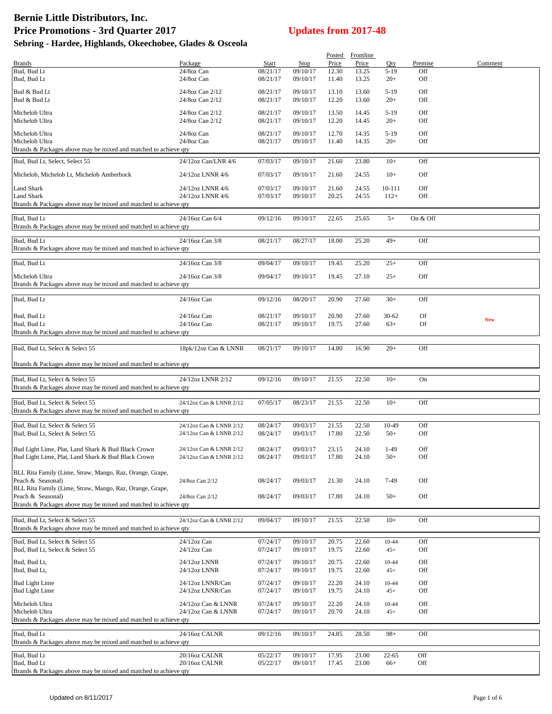|                                                                                                          |                                                    |                      |                      |                | Posted Frontline |                    |                 |            |
|----------------------------------------------------------------------------------------------------------|----------------------------------------------------|----------------------|----------------------|----------------|------------------|--------------------|-----------------|------------|
| <b>Brands</b><br>Bud, Bud Lt                                                                             | Package<br>24/8oz Can                              | Start<br>08/21/17    | Stop<br>09/10/17     | Price<br>12.30 | Price<br>13.25   | Qty<br>$5-19$      | Premise<br>Off  | Comment    |
| Bud, Bud Lt                                                                                              | 24/8oz Can                                         | 08/21/17             | 09/10/17             | 11.40          | 13.25            | $20+$              | Off             |            |
| Bud & Bud Lt                                                                                             | 24/8oz Can 2/12                                    | 08/21/17             | 09/10/17             | 13.10          | 13.60            | $5-19$             | Off             |            |
| Bud & Bud Lt                                                                                             | 24/8oz Can 2/12                                    | 08/21/17             | 09/10/17             | 12.20          | 13.60            | $20+$              | Off             |            |
| Michelob Ultra                                                                                           | 24/8oz Can 2/12                                    | 08/21/17             | 09/10/17             | 13.50          | 14.45            | $5-19$             | Off             |            |
| Michelob Ultra                                                                                           | 24/8oz Can 2/12                                    | 08/21/17             | 09/10/17             | 12.20          | 14.45            | $20+$              | Off             |            |
| Michelob Ultra<br>Michelob Ultra                                                                         | 24/8oz Can<br>24/8oz Can                           | 08/21/17<br>08/21/17 | 09/10/17<br>09/10/17 | 12.70<br>11.40 | 14.35<br>14.35   | $5-19$<br>$20+$    | Off<br>Off      |            |
| Brands & Packages above may be mixed and matched to achieve gty                                          |                                                    |                      |                      |                |                  |                    |                 |            |
| Bud, Bud Lt, Select, Select 55                                                                           | 24/12oz Can/LNR 4/6                                | 07/03/17             | 09/10/17             | 21.60          | 23.80            | $10+$              | Off             |            |
| Michelob, Michelob Lt, Michelob Amberbock                                                                | 24/12oz LNNR 4/6                                   | 07/03/17             | 09/10/17             | 21.60          | 24.55            | $10+$              | Off             |            |
| Land Shark                                                                                               | 24/12oz LNNR 4/6                                   | 07/03/17             | 09/10/17             | 21.60          | 24.55            | 10-111             | Off             |            |
| <b>Land Shark</b><br>Brands & Packages above may be mixed and matched to achieve qty                     | 24/12oz LNNR 4/6                                   | 07/03/17             | 09/10/17             | 20.25          | 24.55            | $112+$             | Off             |            |
|                                                                                                          |                                                    |                      |                      |                |                  |                    |                 |            |
| Bud, Bud Lt<br>Brands & Packages above may be mixed and matched to achieve qty                           | 24/16oz Can 6/4                                    | 09/12/16             | 09/10/17             | 22.65          | 25.65            | $5+$               | On & Off        |            |
| Bud, Bud Lt                                                                                              | 24/16oz Can 3/8                                    | 08/21/17             | 08/27/17             | 18.00          | 25.20            | $49+$              | Off             |            |
| Brands & Packages above may be mixed and matched to achieve qty                                          |                                                    |                      |                      |                |                  |                    |                 |            |
| Bud, Bud Lt                                                                                              | 24/16oz Can 3/8                                    | 09/04/17             | 09/10/17             | 19.45          | 25.20            | $25+$              | Off             |            |
| Michelob Ultra                                                                                           | 24/16oz Can 3/8                                    | 09/04/17             | 09/10/17             | 19.45          | 27.10            | $25+$              | Off             |            |
| Brands & Packages above may be mixed and matched to achieve qty                                          |                                                    |                      |                      |                |                  |                    |                 |            |
| Bud, Bud Lt                                                                                              | 24/16oz Can                                        | 09/12/16             | 08/20/17             | 20.90          | 27.60            | $30+$              | Off             |            |
|                                                                                                          |                                                    |                      |                      |                |                  |                    |                 |            |
| Bud, Bud Lt<br>Bud, Bud Lt                                                                               | 24/16oz Can<br>24/16oz Can                         | 08/21/17<br>08/21/17 | 09/10/17<br>09/10/17 | 20.90<br>19.75 | 27.60<br>27.60   | $30 - 62$<br>$63+$ | Of<br><b>Of</b> | <b>New</b> |
| Brands & Packages above may be mixed and matched to achieve qty                                          |                                                    |                      |                      |                |                  |                    |                 |            |
| Bud, Bud Lt, Select & Select 55                                                                          | 18pk/12oz Can & LNNR                               | 08/21/17             | 09/10/17             | 14.80          | 16.90            | $20+$              | Off             |            |
|                                                                                                          |                                                    |                      |                      |                |                  |                    |                 |            |
| Brands & Packages above may be mixed and matched to achieve qty                                          |                                                    |                      |                      |                |                  |                    |                 |            |
| Bud, Bud Lt, Select & Select 55                                                                          | 24/12oz LNNR 2/12                                  | 09/12/16             | 09/10/17             | 21.55          | 22.50            | $10+$              | On              |            |
| Brands & Packages above may be mixed and matched to achieve qty                                          |                                                    |                      |                      |                |                  |                    |                 |            |
| Bud, Bud Lt, Select & Select 55                                                                          | 24/12oz Can & LNNR 2/12                            | 07/05/17             | 08/23/17             | 21.55          | 22.50            | $10+$              | Off             |            |
| Brands & Packages above may be mixed and matched to achieve qty                                          |                                                    |                      |                      |                |                  |                    |                 |            |
| Bud, Bud Lt, Select & Select 55<br>Bud, Bud Lt, Select & Select 55                                       | 24/12oz Can & LNNR 2/12<br>24/12oz Can & LNNR 2/12 | 08/24/17<br>08/24/17 | 09/03/17<br>09/03/17 | 21.55<br>17.80 | 22.50<br>22.50   | 10-49<br>$50+$     | Off<br>Off      |            |
|                                                                                                          |                                                    |                      |                      |                |                  |                    |                 |            |
| Bud Light Lime, Plat, Land Shark & Bud Black Crown<br>Bud Light Lime, Plat, Land Shark & Bud Black Crown | 24/12oz Can & LNNR 2/12<br>24/12oz Can & LNNR 2/12 | 08/24/17<br>08/24/17 | 09/03/17<br>09/03/17 | 23.15<br>17.80 | 24.10<br>24.10   | $1-49$<br>$50+$    | Off<br>Off      |            |
|                                                                                                          |                                                    |                      |                      |                |                  |                    |                 |            |
| BLL Rita Family (Lime, Straw, Mango, Raz, Orange, Grape,<br>Peach & Seasonal)                            | 24/8oz Can 2/12                                    | 08/24/17             | 09/03/17             | 21.30          | 24.10            | 7-49               | Off             |            |
| BLL Rita Family (Lime, Straw, Mango, Raz, Orange, Grape,                                                 |                                                    |                      |                      |                |                  |                    |                 |            |
| Peach & Seasonal)<br>Brands & Packages above may be mixed and matched to achieve qty                     | 24/8oz Can 2/12                                    | 08/24/17             | 09/03/17             | 17.80          | 24.10            | $50+$              | Off             |            |
|                                                                                                          |                                                    |                      |                      |                |                  |                    |                 |            |
| Bud, Bud Lt, Select & Select 55<br>Brands & Packages above may be mixed and matched to achieve qty       | 24/12oz Can & LNNR 2/12                            | 09/04/17             | 09/10/17             | 21.55          | 22.50            | $10+$              | Off             |            |
| Bud, Bud Lt, Select & Select 55                                                                          | 24/12oz Can                                        | 07/24/17             | 09/10/17             | 20.75          | 22.60            | 10-44              | Off             |            |
| Bud, Bud Lt, Select & Select 55                                                                          | 24/12oz Can                                        | 07/24/17             | 09/10/17             | 19.75          | 22.60            | $45+$              | Off             |            |
| Bud, Bud Lt,                                                                                             | 24/12oz LNNR                                       | 07/24/17             | 09/10/17             | 20.75          | 22.60            | 10-44              | Off             |            |
| Bud, Bud Lt,                                                                                             | 24/12oz LNNR                                       | 07/24/17             | 09/10/17             | 19.75          | 22.60            | $45+$              | Off             |            |
| <b>Bud Light Lime</b><br><b>Bud Light Lime</b>                                                           | 24/12oz LNNR/Can<br>24/12oz LNNR/Can               | 07/24/17<br>07/24/17 | 09/10/17<br>09/10/17 | 22.20<br>19.75 | 24.10<br>24.10   | 10-44<br>$45+$     | Off<br>Off      |            |
| Michelob Ultra                                                                                           |                                                    |                      |                      |                |                  |                    |                 |            |
| Michelob Ultra                                                                                           | 24/12oz Can & LNNR<br>24/12oz Can & LNNR           | 07/24/17<br>07/24/17 | 09/10/17<br>09/10/17 | 22.20<br>20.70 | 24.10<br>24.10   | 10-44<br>$45+$     | Off<br>Off      |            |
| Brands & Packages above may be mixed and matched to achieve qty                                          |                                                    |                      |                      |                |                  |                    |                 |            |
| Bud, Bud Lt                                                                                              | 24/16oz CALNR                                      | 09/12/16             | 09/10/17             | 24.85          | 28.50            | $98+$              | Off             |            |
| Brands & Packages above may be mixed and matched to achieve qty                                          |                                                    |                      |                      |                |                  |                    |                 |            |
| Bud, Bud Lt<br>Bud, Bud Lt                                                                               | 20/16oz CALNR<br>20/16oz CALNR                     | 05/22/17<br>05/22/17 | 09/10/17<br>09/10/17 | 17.95<br>17.45 | 23.00<br>23.00   | $22 - 65$<br>$66+$ | Off<br>Off      |            |
| Brands & Packages above may be mixed and matched to achieve qty                                          |                                                    |                      |                      |                |                  |                    |                 |            |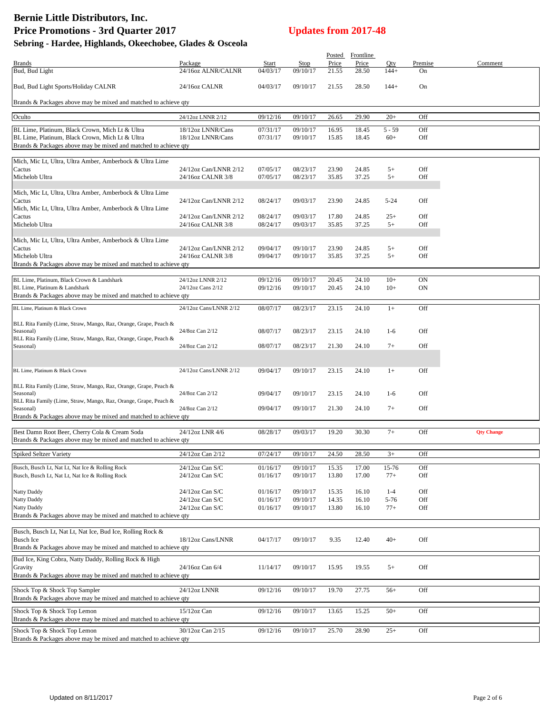# **Bernie Little Distributors, Inc. Price Promotions - 3rd Quarter 2017 Updates from 2017-48**

| Sebring - Hardee, Highlands, Okeechobee, Glades & Osceola |  |
|-----------------------------------------------------------|--|
|-----------------------------------------------------------|--|

|                                                                                                                    |                                        |                      |                      |                | Posted Frontline |                |               |                   |
|--------------------------------------------------------------------------------------------------------------------|----------------------------------------|----------------------|----------------------|----------------|------------------|----------------|---------------|-------------------|
| <b>Brands</b><br>Bud, Bud Light                                                                                    | Package<br>24/16oz ALNR/CALNR          | Start<br>04/03/17    | Stop<br>09/10/17     | Price          | Price            | Qty<br>$144+$  | Premise<br>On | Comment           |
|                                                                                                                    |                                        |                      |                      | 21.55          | 28.50            |                |               |                   |
| Bud, Bud Light Sports/Holiday CALNR                                                                                | 24/16oz CALNR                          | 04/03/17             | 09/10/17             | 21.55          | 28.50            | $144+$         | On            |                   |
|                                                                                                                    |                                        |                      |                      |                |                  |                |               |                   |
| Brands & Packages above may be mixed and matched to achieve qty                                                    |                                        |                      |                      |                |                  |                |               |                   |
| Oculto                                                                                                             | 24/12oz LNNR 2/12                      | 09/12/16             | 09/10/17             | 26.65          | 29.90            | $20+$          | Off           |                   |
|                                                                                                                    |                                        |                      |                      |                |                  |                |               |                   |
| BL Lime, Platinum, Black Crown, Mich Lt & Ultra                                                                    | 18/12oz LNNR/Cans                      | 07/31/17             | 09/10/17             | 16.95          | 18.45            | $5 - 59$       | Off           |                   |
| BL Lime, Platinum, Black Crown, Mich Lt & Ultra<br>Brands & Packages above may be mixed and matched to achieve qty | 18/12oz LNNR/Cans                      | 07/31/17             | 09/10/17             | 15.85          | 18.45            | $60+$          | Off           |                   |
|                                                                                                                    |                                        |                      |                      |                |                  |                |               |                   |
| Mich, Mic Lt, Ultra, Ultra Amber, Amberbock & Ultra Lime                                                           |                                        |                      |                      |                |                  |                |               |                   |
| Cactus                                                                                                             | 24/12oz Can/LNNR 2/12                  | 07/05/17             | 08/23/17             | 23.90          | 24.85            | $5+$           | Off           |                   |
| Michelob Ultra                                                                                                     | 24/16oz CALNR 3/8                      | 07/05/17             | 08/23/17             | 35.85          | 37.25            | $5+$           | Off           |                   |
| Mich, Mic Lt, Ultra, Ultra Amber, Amberbock & Ultra Lime                                                           |                                        |                      |                      |                |                  |                |               |                   |
| Cactus                                                                                                             | 24/12oz Can/LNNR 2/12                  | 08/24/17             | 09/03/17             | 23.90          | 24.85            | $5 - 24$       | Off           |                   |
| Mich, Mic Lt, Ultra, Ultra Amber, Amberbock & Ultra Lime                                                           |                                        |                      |                      |                |                  |                |               |                   |
| Cactus                                                                                                             | 24/12oz Can/LNNR 2/12                  | 08/24/17             | 09/03/17             | 17.80          | 24.85            | $25+$          | Off           |                   |
| Michelob Ultra                                                                                                     | 24/16oz CALNR 3/8                      | 08/24/17             | 09/03/17             | 35.85          | 37.25            | $5+$           | Off           |                   |
| Mich, Mic Lt, Ultra, Ultra Amber, Amberbock & Ultra Lime                                                           |                                        |                      |                      |                |                  |                |               |                   |
| Cactus                                                                                                             | 24/12oz Can/LNNR 2/12                  | 09/04/17             | 09/10/17             | 23.90          | 24.85            | $5+$           | Off           |                   |
| Michelob Ultra                                                                                                     | 24/16oz CALNR 3/8                      | 09/04/17             | 09/10/17             | 35.85          | 37.25            | $5+$           | Off           |                   |
| Brands & Packages above may be mixed and matched to achieve qty                                                    |                                        |                      |                      |                |                  |                |               |                   |
|                                                                                                                    |                                        |                      |                      |                |                  |                |               |                   |
| BL Lime, Platinum, Black Crown & Landshark<br>BL Lime, Platinum & Landshark                                        | 24/12oz LNNR 2/12<br>24/12oz Cans 2/12 | 09/12/16<br>09/12/16 | 09/10/17<br>09/10/17 | 20.45<br>20.45 | 24.10<br>24.10   | $10+$<br>$10+$ | ON<br>ON      |                   |
| Brands & Packages above may be mixed and matched to achieve qty                                                    |                                        |                      |                      |                |                  |                |               |                   |
|                                                                                                                    |                                        |                      |                      |                |                  |                |               |                   |
| BL Lime, Platinum & Black Crown                                                                                    | 24/12oz Cans/LNNR 2/12                 | 08/07/17             | 08/23/17             | 23.15          | 24.10            | $1+$           | Off           |                   |
| BLL Rita Family (Lime, Straw, Mango, Raz, Orange, Grape, Peach &                                                   |                                        |                      |                      |                |                  |                |               |                   |
| Seasonal)                                                                                                          | 24/8oz Can 2/12                        | 08/07/17             | 08/23/17             | 23.15          | 24.10            | $1-6$          | Off           |                   |
| BLL Rita Family (Lime, Straw, Mango, Raz, Orange, Grape, Peach &                                                   |                                        |                      |                      |                |                  |                |               |                   |
| Seasonal)                                                                                                          | 24/8oz Can 2/12                        | 08/07/17             | 08/23/17             | 21.30          | 24.10            | $7+$           | Off           |                   |
|                                                                                                                    |                                        |                      |                      |                |                  |                |               |                   |
| BL Lime, Platinum & Black Crown                                                                                    | 24/12oz Cans/LNNR 2/12                 | 09/04/17             | 09/10/17             | 23.15          | 24.10            | $1+$           | Off           |                   |
|                                                                                                                    |                                        |                      |                      |                |                  |                |               |                   |
| BLL Rita Family (Lime, Straw, Mango, Raz, Orange, Grape, Peach &                                                   |                                        |                      |                      |                |                  |                |               |                   |
| Seasonal)<br>BLL Rita Family (Lime, Straw, Mango, Raz, Orange, Grape, Peach &                                      | 24/8oz Can 2/12                        | 09/04/17             | 09/10/17             | 23.15          | 24.10            | $1-6$          | Off           |                   |
| Seasonal)                                                                                                          | 24/8oz Can 2/12                        | 09/04/17             | 09/10/17             | 21.30          | 24.10            | $7+$           | Off           |                   |
| Brands & Packages above may be mixed and matched to achieve qty                                                    |                                        |                      |                      |                |                  |                |               |                   |
|                                                                                                                    |                                        |                      |                      |                |                  |                |               |                   |
| Best Damn Root Beer, Cherry Cola & Cream Soda<br>Brands & Packages above may be mixed and matched to achieve qty   | 24/12oz LNR 4/6                        | 08/28/17             | 09/03/17             | 19.20          | 30.30            | $7+$           | Off           | <b>Qty Change</b> |
|                                                                                                                    |                                        |                      |                      |                |                  |                |               |                   |
| <b>Spiked Seltzer Variety</b>                                                                                      | 24/12oz Can 2/12                       | 07/24/17             | 09/10/17             | 24.50          | 28.50            | $3+$           | Off           |                   |
| Busch, Busch Lt, Nat Lt, Nat Ice & Rolling Rock                                                                    | 24/12oz Can S/C                        | 01/16/17             | 09/10/17             | 15.35          | 17.00            | 15-76          | Off           |                   |
| Busch, Busch Lt, Nat Lt, Nat Ice & Rolling Rock                                                                    | $24/12$ oz Can S/C                     | 01/16/17             | 09/10/17             | 13.80          | 17.00            | $77+$          | Off           |                   |
|                                                                                                                    |                                        |                      |                      |                |                  |                |               |                   |
| Natty Daddy                                                                                                        | $24/12$ oz Can S/C                     | 01/16/17             | 09/10/17             | 15.35          | 16.10            | $1 - 4$        | Off           |                   |
| Natty Daddy                                                                                                        | $24/12$ oz Can S/C                     | 01/16/17             | 09/10/17             | 14.35          | 16.10            | 5-76           | Off           |                   |
| Natty Daddy<br>Brands & Packages above may be mixed and matched to achieve qty                                     | $24/12$ oz Can S/C                     | 01/16/17             | 09/10/17             | 13.80          | 16.10            | $77+$          | Off           |                   |
|                                                                                                                    |                                        |                      |                      |                |                  |                |               |                   |
| Busch, Busch Lt, Nat Lt, Nat Ice, Bud Ice, Rolling Rock &                                                          |                                        |                      |                      |                |                  |                |               |                   |
| <b>Busch Ice</b>                                                                                                   | 18/12oz Cans/LNNR                      | 04/17/17             | 09/10/17             | 9.35           | 12.40            | $40+$          | Off           |                   |
| Brands & Packages above may be mixed and matched to achieve qty                                                    |                                        |                      |                      |                |                  |                |               |                   |
| Bud Ice, King Cobra, Natty Daddy, Rolling Rock & High                                                              |                                        |                      |                      |                |                  |                |               |                   |
| Gravity                                                                                                            | 24/16oz Can 6/4                        | 11/14/17             | 09/10/17             | 15.95          | 19.55            | $5+$           | Off           |                   |
| Brands & Packages above may be mixed and matched to achieve qty                                                    |                                        |                      |                      |                |                  |                |               |                   |
| Shock Top & Shock Top Sampler                                                                                      | 24/12oz LNNR                           | 09/12/16             | 09/10/17             | 19.70          | 27.75            | $56+$          | Off           |                   |
| Brands & Packages above may be mixed and matched to achieve qty                                                    |                                        |                      |                      |                |                  |                |               |                   |
| Shock Top & Shock Top Lemon                                                                                        | $15/12$ oz Can                         | 09/12/16             | 09/10/17             | 13.65          | 15.25            | $50+$          | Off           |                   |
| Brands & Packages above may be mixed and matched to achieve qty                                                    |                                        |                      |                      |                |                  |                |               |                   |
|                                                                                                                    |                                        |                      |                      |                |                  |                |               |                   |
| Shock Top & Shock Top Lemon<br>Brands & Packages above may be mixed and matched to achieve qty                     | 30/12oz Can 2/15                       | 09/12/16             | 09/10/17             | 25.70          | 28.90            | $25+$          | Off           |                   |
|                                                                                                                    |                                        |                      |                      |                |                  |                |               |                   |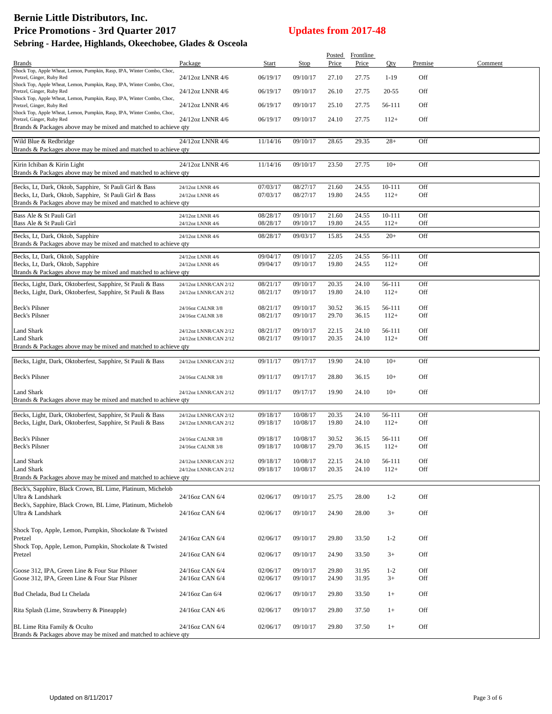|                                                                                                     |                                        |                      |                      |                | Posted Frontline |                  |            |         |
|-----------------------------------------------------------------------------------------------------|----------------------------------------|----------------------|----------------------|----------------|------------------|------------------|------------|---------|
| <b>Brands</b>                                                                                       | Package                                | Start                | Stop                 | Price          | Price            | Qty              | Premise    | Comment |
| Shock Top, Apple Wheat, Lemon, Pumpkin, Rasp, IPA, Winter Combo, Choc,<br>Pretzel, Ginger, Ruby Red | 24/12oz LNNR 4/6                       | 06/19/17             | 09/10/17             | 27.10          | 27.75            | $1-19$           | Off        |         |
| Shock Top, Apple Wheat, Lemon, Pumpkin, Rasp, IPA, Winter Combo, Choc,<br>Pretzel, Ginger, Ruby Red | 24/12oz LNNR 4/6                       | 06/19/17             | 09/10/17             | 26.10          | 27.75            | 20-55            | Off        |         |
| Shock Top, Apple Wheat, Lemon, Pumpkin, Rasp, IPA, Winter Combo, Choc,<br>Pretzel, Ginger, Ruby Red | 24/12oz LNNR 4/6                       | 06/19/17             | 09/10/17             | 25.10          | 27.75            | 56-111           | Off        |         |
| Shock Top, Apple Wheat, Lemon, Pumpkin, Rasp, IPA, Winter Combo, Choc,<br>Pretzel, Ginger, Ruby Red | 24/12oz LNNR 4/6                       | 06/19/17             | 09/10/17             | 24.10          | 27.75            | $112+$           | Off        |         |
| Brands & Packages above may be mixed and matched to achieve qty                                     |                                        |                      |                      |                |                  |                  |            |         |
| Wild Blue & Redbridge                                                                               | 24/12oz LNNR 4/6                       | 11/14/16             | 09/10/17             | 28.65          | 29.35            | $28+$            | Off        |         |
| Brands & Packages above may be mixed and matched to achieve qty                                     |                                        |                      |                      |                |                  |                  |            |         |
|                                                                                                     |                                        |                      | 09/10/17             |                |                  | $10+$            | Off        |         |
| Kirin Ichiban & Kirin Light<br>Brands & Packages above may be mixed and matched to achieve qty      | 24/12oz LNNR 4/6                       | 11/14/16             |                      | 23.50          | 27.75            |                  |            |         |
| Becks, Lt, Dark, Oktob, Sapphire, St Pauli Girl & Bass                                              | 24/12oz LNNR 4/6                       | 07/03/17             | 08/27/17             | 21.60          | 24.55            | $10 - 111$       | Off        |         |
| Becks, Lt, Dark, Oktob, Sapphire, St Pauli Girl & Bass                                              | 24/12oz LNNR 4/6                       | 07/03/17             | 08/27/17             | 19.80          | 24.55            | $112+$           | Off        |         |
| Brands & Packages above may be mixed and matched to achieve qty                                     |                                        |                      |                      |                |                  |                  |            |         |
| Bass Ale & St Pauli Girl                                                                            | 24/12oz LNNR 4/6                       | 08/28/17             | 09/10/17             | 21.60          | 24.55            | $10 - 111$       | Off        |         |
| Bass Ale & St Pauli Girl                                                                            | 24/12oz LNNR 4/6                       | 08/28/17             | 09/10/17             | 19.80          | 24.55            | $112+$           | Off        |         |
| Becks, Lt, Dark, Oktob, Sapphire                                                                    | 24/12oz LNNR 4/6                       | 08/28/17             | 09/03/17             | 15.85          | 24.55            | $20+$            | Off        |         |
| Brands & Packages above may be mixed and matched to achieve qty                                     |                                        |                      |                      |                |                  |                  |            |         |
| Becks, Lt, Dark, Oktob, Sapphire                                                                    | 24/12oz LNNR 4/6                       | 09/04/17             | 09/10/17             | 22.05          | 24.55            | 56-111           | Off        |         |
| Becks, Lt, Dark, Oktob, Sapphire                                                                    | 24/12oz LNNR 4/6                       | 09/04/17             | 09/10/17             | 19.80          | 24.55            | $112+$           | Off        |         |
| Brands & Packages above may be mixed and matched to achieve qty                                     |                                        |                      |                      |                |                  |                  |            |         |
| Becks, Light, Dark, Oktoberfest, Sapphire, St Pauli & Bass                                          | 24/12oz LNNR/CAN 2/12                  | 08/21/17             | 09/10/17             | 20.35          | 24.10            | 56-111           | Off        |         |
| Becks, Light, Dark, Oktoberfest, Sapphire, St Pauli & Bass                                          | 24/12oz LNNR/CAN 2/12                  | 08/21/17             | 09/10/17             | 19.80          | 24.10            | $112+$           | Off        |         |
|                                                                                                     |                                        |                      |                      |                |                  |                  |            |         |
| Beck's Pilsner<br>Beck's Pilsner                                                                    | 24/16oz CALNR 3/8                      | 08/21/17<br>08/21/17 | 09/10/17<br>09/10/17 | 30.52<br>29.70 | 36.15<br>36.15   | 56-111<br>$112+$ | Off<br>Off |         |
|                                                                                                     | 24/16oz CALNR 3/8                      |                      |                      |                |                  |                  |            |         |
| Land Shark                                                                                          | 24/12oz LNNR/CAN 2/12                  | 08/21/17             | 09/10/17             | 22.15          | 24.10            | 56-111           | Off        |         |
| Land Shark                                                                                          | 24/12oz LNNR/CAN 2/12                  | 08/21/17             | 09/10/17             | 20.35          | 24.10            | $112+$           | Off        |         |
| Brands & Packages above may be mixed and matched to achieve qty                                     |                                        |                      |                      |                |                  |                  |            |         |
| Becks, Light, Dark, Oktoberfest, Sapphire, St Pauli & Bass                                          | 24/12oz LNNR/CAN 2/12                  | 09/11/17             | 09/17/17             | 19.90          | 24.10            | $10+$            | Off        |         |
|                                                                                                     |                                        |                      |                      |                |                  |                  |            |         |
| <b>Beck's Pilsner</b>                                                                               | 24/16oz CALNR 3/8                      | 09/11/17             | 09/17/17             | 28.80          | 36.15            | $10+$            | Off        |         |
| <b>Land Shark</b>                                                                                   | 24/12oz LNNR/CAN 2/12                  | 09/11/17             | 09/17/17             | 19.90          | 24.10            | $10+$            | Off        |         |
| Brands & Packages above may be mixed and matched to achieve qty                                     |                                        |                      |                      |                |                  |                  |            |         |
| Becks, Light, Dark, Oktoberfest, Sapphire, St Pauli & Bass                                          | 24/12oz LNNR/CAN 2/12                  | 09/18/17             | 10/08/17             | 20.35          | 24.10            | 56-111           | Off        |         |
| Becks, Light, Dark, Oktoberfest, Sapphire, St Pauli & Bass                                          | 24/12oz LNNR/CAN 2/12                  | 09/18/17             | 10/08/17             | 19.80          | 24.10            | $112+$           | Off        |         |
| Beck's Pilsner                                                                                      |                                        | 09/18/17             |                      |                |                  |                  | Off        |         |
| Beck's Pilsner                                                                                      | 24/16oz CALNR 3/8<br>24/16oz CALNR 3/8 | 09/18/17             | 10/08/17<br>10/08/17 | 30.52<br>29.70 | 36.15<br>36.15   | 56-111<br>$112+$ | Off        |         |
| Land Shark                                                                                          | 24/12oz LNNR/CAN 2/12                  | 09/18/17             | 10/08/17             | 22.15          | 24.10            | 56-111           | Off        |         |
| Land Shark                                                                                          | 24/12oz LNNR/CAN 2/12                  | 09/18/17             | 10/08/17             | 20.35          | 24.10            | $112+$           | Off        |         |
| Brands & Packages above may be mixed and matched to achieve qty                                     |                                        |                      |                      |                |                  |                  |            |         |
| Beck's, Sapphire, Black Crown, BL Lime, Platinum, Michelob                                          |                                        |                      |                      |                |                  |                  |            |         |
| Ultra & Landshark                                                                                   | 24/16oz CAN 6/4                        | 02/06/17             | 09/10/17             | 25.75          | 28.00            | $1 - 2$          | Off        |         |
| Beck's, Sapphire, Black Crown, BL Lime, Platinum, Michelob                                          |                                        |                      |                      |                |                  |                  |            |         |
| Ultra & Landshark                                                                                   | 24/16oz CAN 6/4                        | 02/06/17             | 09/10/17             | 24.90          | 28.00            | $3+$             | Off        |         |
|                                                                                                     |                                        |                      |                      |                |                  |                  |            |         |
| Shock Top, Apple, Lemon, Pumpkin, Shockolate & Twisted<br>Pretzel                                   | 24/16oz CAN 6/4                        | 02/06/17             | 09/10/17             | 29.80          | 33.50            | $1 - 2$          | Off        |         |
| Shock Top, Apple, Lemon, Pumpkin, Shockolate & Twisted                                              |                                        |                      |                      |                |                  |                  |            |         |
| Pretzel                                                                                             | 24/16oz CAN 6/4                        | 02/06/17             | 09/10/17             | 24.90          | 33.50            | $3+$             | Off        |         |
|                                                                                                     |                                        |                      |                      |                |                  |                  |            |         |
| Goose 312, IPA, Green Line & Four Star Pilsner                                                      | 24/16oz CAN 6/4                        | 02/06/17             | 09/10/17             | 29.80          | 31.95            | $1 - 2$          | Off        |         |
| Goose 312, IPA, Green Line & Four Star Pilsner                                                      | 24/16oz CAN 6/4                        | 02/06/17             | 09/10/17             | 24.90          | 31.95            | $3+$             | Off        |         |
| Bud Chelada, Bud Lt Chelada                                                                         | 24/16oz Can 6/4                        | 02/06/17             | 09/10/17             | 29.80          | 33.50            | $1+$             | Off        |         |
| Rita Splash (Lime, Strawberry & Pineapple)                                                          | 24/16oz CAN 4/6                        | 02/06/17             | 09/10/17             | 29.80          | 37.50            | $1+$             | Off        |         |
|                                                                                                     |                                        |                      |                      |                |                  |                  |            |         |
| BL Lime Rita Family & Oculto<br>Brands & Packages above may be mixed and matched to achieve qty     | 24/16oz CAN 6/4                        | 02/06/17             | 09/10/17             | 29.80          | 37.50            | $1+$             | Off        |         |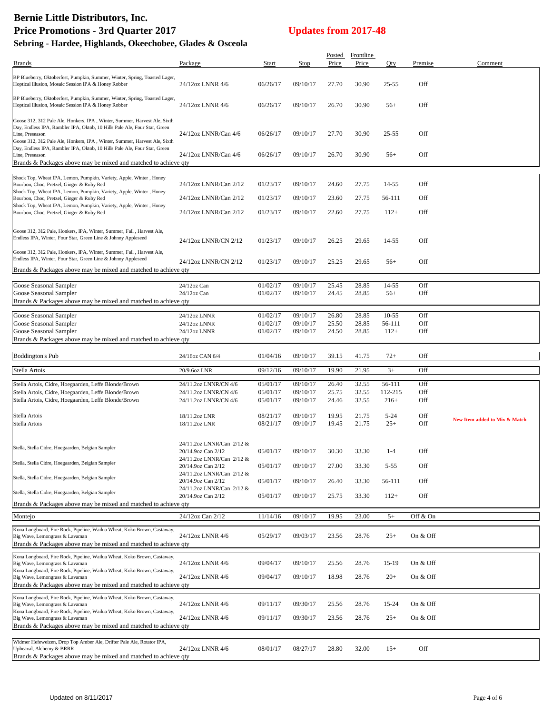|                                                                                                                                                                                                                                                        |                                                 |                      |                      | <b>Posted</b>  | <b>Frontline</b> |                |            |                               |
|--------------------------------------------------------------------------------------------------------------------------------------------------------------------------------------------------------------------------------------------------------|-------------------------------------------------|----------------------|----------------------|----------------|------------------|----------------|------------|-------------------------------|
| <b>Brands</b>                                                                                                                                                                                                                                          | Package                                         | Start                | Stop                 | Price          | Price            | Qty            | Premise    | Comment                       |
| BP Blueberry, Oktoberfest, Pumpkin, Summer, Winter, Spring, Toasted Lager,<br>Hoptical Illusion, Mosaic Session IPA & Honey Robber                                                                                                                     | 24/12oz LNNR 4/6                                | 06/26/17             | 09/10/17             | 27.70          | 30.90            | $25 - 55$      | Off        |                               |
| BP Blueberry, Oktoberfest, Pumpkin, Summer, Winter, Spring, Toasted Lager,<br>Hoptical Illusion, Mosaic Session IPA & Honey Robber                                                                                                                     | 24/12oz LNNR 4/6                                | 06/26/17             | 09/10/17             | 26.70          | 30.90            | $56+$          | Off        |                               |
| Goose 312, 312 Pale Ale, Honkers, IPA, Winter, Summer, Harvest Ale, Sixth<br>Day, Endless IPA, Rambler IPA, Oktob, 10 Hills Pale Ale, Four Star, Green<br>Line, Preseason<br>Goose 312, 312 Pale Ale, Honkers, IPA, Winter, Summer, Harvest Ale, Sixth | 24/12oz LNNR/Can 4/6                            | 06/26/17             | 09/10/17             | 27.70          | 30.90            | $25 - 55$      | Off        |                               |
| Day, Endless IPA, Rambler IPA, Oktob, 10 Hills Pale Ale, Four Star, Green<br>Line, Preseason<br>Brands & Packages above may be mixed and matched to achieve qty                                                                                        | 24/12oz LNNR/Can 4/6                            | 06/26/17             | 09/10/17             | 26.70          | 30.90            | $56+$          | Off        |                               |
|                                                                                                                                                                                                                                                        |                                                 |                      |                      |                |                  |                |            |                               |
| Shock Top, Wheat IPA, Lemon, Pumpkin, Variety, Apple, Winter, Honey<br>Bourbon, Choc, Pretzel, Ginger & Ruby Red<br>Shock Top, Wheat IPA, Lemon, Pumpkin, Variety, Apple, Winter, Honey                                                                | 24/12oz LNNR/Can 2/12                           | 01/23/17             | 09/10/17             | 24.60          | 27.75            | 14-55          | Off        |                               |
| Bourbon, Choc, Pretzel, Ginger & Ruby Red                                                                                                                                                                                                              | 24/12oz LNNR/Can 2/12                           | 01/23/17             | 09/10/17             | 23.60          | 27.75            | 56-111         | Off        |                               |
| Shock Top, Wheat IPA, Lemon, Pumpkin, Variety, Apple, Winter, Honey<br>Bourbon, Choc, Pretzel, Ginger & Ruby Red                                                                                                                                       | 24/12oz LNNR/Can 2/12                           | 01/23/17             | 09/10/17             | 22.60          | 27.75            | $112+$         | Off        |                               |
| Goose 312, 312 Pale, Honkers, IPA, Winter, Summer, Fall, Harvest Ale,<br>Endless IPA, Winter, Four Star, Green Line & Johnny Appleseed                                                                                                                 | 24/12oz LNNR/CN 2/12                            | 01/23/17             | 09/10/17             | 26.25          | 29.65            | 14-55          | Off        |                               |
| Goose 312, 312 Pale, Honkers, IPA, Winter, Summer, Fall, Harvest Ale,                                                                                                                                                                                  |                                                 |                      |                      |                |                  |                |            |                               |
| Endless IPA, Winter, Four Star, Green Line & Johnny Appleseed<br>Brands & Packages above may be mixed and matched to achieve qty                                                                                                                       | 24/12oz LNNR/CN 2/12                            | 01/23/17             | 09/10/17             | 25.25          | 29.65            | $56+$          | Off        |                               |
|                                                                                                                                                                                                                                                        |                                                 |                      |                      |                |                  |                |            |                               |
| Goose Seasonal Sampler<br>Goose Seasonal Sampler                                                                                                                                                                                                       | 24/12oz Can<br>24/12oz Can                      | 01/02/17<br>01/02/17 | 09/10/17<br>09/10/17 | 25.45<br>24.45 | 28.85<br>28.85   | 14-55<br>$56+$ | Off<br>Off |                               |
| Brands & Packages above may be mixed and matched to achieve qty                                                                                                                                                                                        |                                                 |                      |                      |                |                  |                |            |                               |
| Goose Seasonal Sampler                                                                                                                                                                                                                                 | 24/12oz LNNR                                    | 01/02/17             | 09/10/17             | 26.80          | 28.85            | $10 - 55$      | Off        |                               |
| Goose Seasonal Sampler                                                                                                                                                                                                                                 | 24/12oz LNNR                                    | 01/02/17             | 09/10/17             | 25.50          | 28.85            | 56-111         | Off        |                               |
| Goose Seasonal Sampler                                                                                                                                                                                                                                 | 24/12oz LNNR                                    | 01/02/17             | 09/10/17             | 24.50          | 28.85            | $112+$         | Off        |                               |
| Brands & Packages above may be mixed and matched to achieve qty                                                                                                                                                                                        |                                                 |                      |                      |                |                  |                |            |                               |
|                                                                                                                                                                                                                                                        |                                                 |                      |                      |                |                  |                |            |                               |
| <b>Boddington's Pub</b>                                                                                                                                                                                                                                | 24/16oz CAN 6/4                                 | 01/04/16             | 09/10/17             | 39.15          | 41.75            | $72+$          | Off        |                               |
|                                                                                                                                                                                                                                                        |                                                 |                      |                      |                |                  |                |            |                               |
| Stella Artois                                                                                                                                                                                                                                          | 20/9.6oz LNR                                    | 09/12/16             | 09/10/17             | 19.90          | 21.95            | $3+$           | Off        |                               |
| Stella Artois, Cidre, Hoegaarden, Leffe Blonde/Brown                                                                                                                                                                                                   | 24/11.2oz LNNR/CN 4/6                           | 05/01/17             | 09/10/17             | 26.40          | 32.55            | 56-111         | Off        |                               |
| Stella Artois, Cidre, Hoegaarden, Leffe Blonde/Brown                                                                                                                                                                                                   | 24/11.2oz LNNR/CN 4/6                           | 05/01/17             | 09/10/17             | 25.75          | 32.55            | 112-215        | Off        |                               |
| Stella Artois, Cidre, Hoegaarden, Leffe Blonde/Brown                                                                                                                                                                                                   | 24/11.2oz LNNR/CN 4/6                           | 05/01/17             | 09/10/17             | 24.46          | 32.55            | $216+$         | Off        |                               |
| Stella Artois                                                                                                                                                                                                                                          | 18/11.2oz LNR                                   | 08/21/17             | 09/10/17             | 19.95          | 21.75            | $5 - 24$       | Off        |                               |
| Stella Artois                                                                                                                                                                                                                                          | 18/11.2oz LNR                                   | 08/21/17             | 09/10/17             | 19.45          | 21.75            | $25+$          | Off        | New Item added to Mix & Match |
|                                                                                                                                                                                                                                                        |                                                 |                      |                      |                |                  |                |            |                               |
| Stella, Stella Cidre, Hoegaarden, Belgian Sampler                                                                                                                                                                                                      | 24/11.2oz LNNR/Can 2/12 &                       |                      |                      |                |                  |                |            |                               |
|                                                                                                                                                                                                                                                        | 20/14.9oz Can 2/12<br>24/11.2oz LNNR/Can 2/12 & | 05/01/17             | 09/10/17             | 30.30          | 33.30            | $1 - 4$        | Off        |                               |
| Stella, Stella Cidre, Hoegaarden, Belgian Sampler                                                                                                                                                                                                      | 20/14.9oz Can 2/12                              | 05/01/17             | 09/10/17             | 27.00          | 33.30            | $5 - 55$       | Off        |                               |
| Stella, Stella Cidre, Hoegaarden, Belgian Sampler                                                                                                                                                                                                      | 24/11.2oz LNNR/Can 2/12 &<br>20/14.9oz Can 2/12 | 05/01/17             | 09/10/17             | 26.40          | 33.30            | 56-111         | Off        |                               |
| Stella, Stella Cidre, Hoegaarden, Belgian Sampler                                                                                                                                                                                                      | 24/11.2oz LNNR/Can 2/12 &<br>20/14.9oz Can 2/12 | 05/01/17             | 09/10/17             | 25.75          | 33.30            | $112+$         | Off        |                               |
| Brands & Packages above may be mixed and matched to achieve qty                                                                                                                                                                                        |                                                 |                      |                      |                |                  |                |            |                               |
| Montejo                                                                                                                                                                                                                                                | 24/12oz Can 2/12                                | 11/14/16             | 09/10/17             | 19.95          | 23.00            | $5+$           | Off & On   |                               |
| Kona Longboard, Fire Rock, Pipeline, Wailua Wheat, Koko Brown, Castaway,<br>Big Wave, Lemongrass & Lavaman<br>Brands & Packages above may be mixed and matched to achieve qty                                                                          | 24/12oz LNNR 4/6                                | 05/29/17             | 09/03/17             | 23.56          | 28.76            | $25+$          | On & Off   |                               |
| Kona Longboard, Fire Rock, Pipeline, Wailua Wheat, Koko Brown, Castaway,                                                                                                                                                                               |                                                 |                      |                      |                |                  |                |            |                               |
| Big Wave, Lemongrass & Lavaman<br>Kona Longboard, Fire Rock, Pipeline, Wailua Wheat, Koko Brown, Castaway,                                                                                                                                             | 24/12oz LNNR 4/6                                | 09/04/17             | 09/10/17             | 25.56          | 28.76            | 15-19          | On & Off   |                               |
| Big Wave, Lemongrass & Lavaman<br>Brands & Packages above may be mixed and matched to achieve qty                                                                                                                                                      | 24/12oz LNNR 4/6                                | 09/04/17             | 09/10/17             | 18.98          | 28.76            | $20+$          | On & Off   |                               |
| Kona Longboard, Fire Rock, Pipeline, Wailua Wheat, Koko Brown, Castaway,                                                                                                                                                                               |                                                 |                      |                      |                |                  |                |            |                               |
| Big Wave, Lemongrass & Lavaman                                                                                                                                                                                                                         | 24/12oz LNNR 4/6                                | 09/11/17             | 09/30/17             | 25.56          | 28.76            | 15-24          | On & Off   |                               |
| Kona Longboard, Fire Rock, Pipeline, Wailua Wheat, Koko Brown, Castaway,                                                                                                                                                                               |                                                 |                      |                      |                |                  |                |            |                               |
| Big Wave, Lemongrass & Lavaman                                                                                                                                                                                                                         | 24/12oz LNNR 4/6                                | 09/11/17             | 09/30/17             | 23.56          | 28.76            | $25+$          | On & Off   |                               |
| Brands & Packages above may be mixed and matched to achieve qty                                                                                                                                                                                        |                                                 |                      |                      |                |                  |                |            |                               |
| Widmer Hefeweizen, Drop Top Amber Ale, Drifter Pale Ale, Rotator IPA,<br>Upheaval, Alchemy & BRRR<br>Brands & Packages above may be mixed and matched to achieve qty                                                                                   | 24/12oz LNNR 4/6                                | 08/01/17             | 08/27/17             | 28.80          | 32.00            | $15+$          | Off        |                               |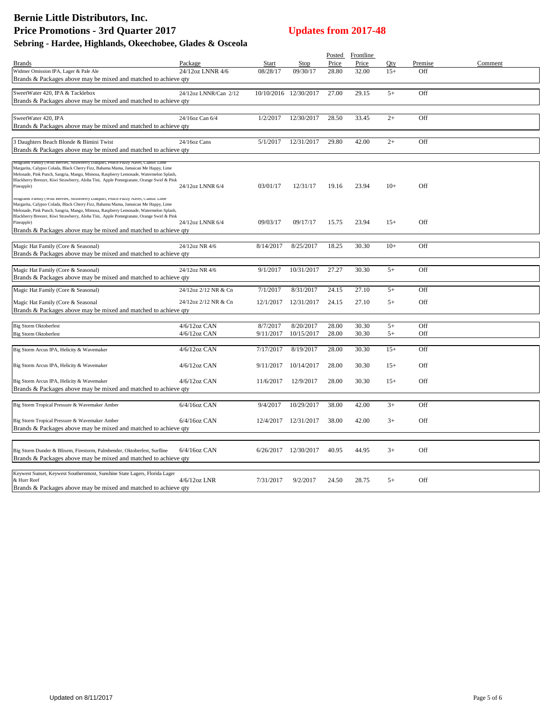| Price<br>Price<br>Oty<br>Comment<br>Package<br>Start<br>Stop<br>Premise<br><b>Brands</b><br>Widmer Omission IPA, Lager & Pale Ale<br>24/12oz LNNR 4/6<br>08/28/17<br>09/30/17<br>28.80<br>32.00<br>$15+$<br>Off<br>Brands & Packages above may be mixed and matched to achieve qty<br>SweetWater 420, IPA & Tacklebox<br>10/10/2016 12/30/2017<br>Off<br>24/12oz LNNR/Can 2/12<br>27.00<br>29.15<br>$5+$<br>Brands & Packages above may be mixed and matched to achieve qty<br>SweetWater 420, IPA<br>12/30/2017<br>28.50<br>33.45<br>$2+$<br>Off<br>24/16oz Can 6/4<br>1/2/2017<br>Brands & Packages above may be mixed and matched to achieve qty<br>3 Daughters Beach Blonde & Bimini Twist<br>24/16oz Cans<br>5/1/2017<br>12/31/2017<br>29.80<br>42.00<br>$2+$<br>Off<br>Brands & Packages above may be mixed and matched to achieve qty<br>Seagrams Family (Wild Berries, Strawberry Daiquiri, Peach Fuzzy Navel, Classic Lim<br>Margarita, Calypso Colada, Black Cherry Fizz, Bahama Mama, Jamaican Me Happy, Lime<br>Melonade, Pink Punch, Sangria, Mango, Mimosa, Raspberry Lemonade, Watermelon Splash,<br>Blackberry Breezer, Kiwi Strawberry, Aloha Tini, Apple Pomegranate, Orange Swirl & Pink<br>03/01/17<br>12/31/17<br>19.16<br>23.94<br>$10+$<br>Off<br>Pineapple)<br>24/12oz LNNR 6/4<br>Seagrams ramity (Wild Berries, Strawberry Daiquiri, reach ruzzy Navel, Classic Lime<br>Margarita, Calypso Colada, Black Cherry Fizz, Bahama Mama, Jamaican Me Happy, Lime<br>Melonade, Pink Punch, Sangria, Mango, Mimosa, Raspberry Lemonade, Watermelon Splash,<br>Blackberry Breezer, Kiwi Strawberry, Aloha Tini, Apple Pomegranate, Orange Swirl & Pink<br>23.94<br>$15+$<br>Off<br>09/03/17<br>09/17/17<br>15.75<br>24/12oz LNNR 6/4<br>Pineapple)<br>Brands & Packages above may be mixed and matched to achieve qty<br>$10+$<br>Off<br>24/12oz NR 4/6<br>8/14/2017<br>8/25/2017<br>18.25<br>30.30<br>Magic Hat Family (Core & Seasonal)<br>Brands & Packages above may be mixed and matched to achieve qty<br>10/31/2017<br>27.27<br>Off<br>Magic Hat Family (Core & Seasonal)<br>24/12oz NR 4/6<br>9/1/2017<br>30.30<br>$5+$<br>Brands & Packages above may be mixed and matched to achieve qty<br>7/1/2017<br>8/31/2017<br>24.15<br>27.10<br>$5+$<br>Off<br>Magic Hat Family (Core & Seasonal)<br>24/12oz 2/12 NR & Cn<br>24/12oz 2/12 NR & Cn<br>12/1/2017<br>12/31/2017<br>24.15<br>27.10<br>$5+$<br>Off<br>Magic Hat Family (Core & Seasonal<br>Brands & Packages above may be mixed and matched to achieve qty<br><b>Big Storm Oktoberfest</b><br>$4/6/12$ oz CAN<br>8/7/2017<br>8/20/2017<br>28.00<br>30.30<br>$5+$<br>Off<br>$4/6/12$ oz CAN<br>9/11/2017<br>10/15/2017<br>28.00<br>30.30<br>Off<br><b>Big Storm Oktoberfest</b><br>$5+$<br>7/17/2017<br>8/19/2017<br>28.00<br>$15+$<br>Off<br>Big Storm Arcus IPA, Helicity & Wavemaker<br>$4/6/12$ oz CAN<br>30.30<br>Big Storm Arcus IPA, Helicity & Wavemaker<br>$4/6/12$ oz CAN<br>10/14/2017<br>28.00<br>30.30<br>$15+$<br>Off<br>9/11/2017<br>4/6/12oz CAN<br>28.00<br>Off<br>Big Storm Arcus IPA, Helicity & Wavemaker<br>11/6/2017<br>12/9/2017<br>30.30<br>$15+$<br>Brands & Packages above may be mixed and matched to achieve qty<br>$6/4/16$ oz CAN<br>$3+$<br>Big Storm Tropical Pressure & Wavemaker Amber<br>9/4/2017<br>10/29/2017<br>38.00<br>42.00<br>Off<br>Off<br>Big Storm Tropical Pressure & Wavemaker Amber<br>6/4/16oz CAN<br>38.00<br>42.00<br>$3+$<br>12/4/2017<br>12/31/2017<br>Brands & Packages above may be mixed and matched to achieve qty<br>$6/4/16$ oz CAN<br>12/30/2017<br>40.95<br>44.95<br>Off<br>Big Storm Dunder & Blixem, Firestorm, Palmbender, Oktoberfest, Surfline<br>6/26/2017<br>$3+$<br>Brands & Packages above may be mixed and matched to achieve qty<br>Keywest Sunset, Keywest Southernmost, Sunshine State Lagers, Florida Lager<br>& Hurr Reef<br>4/6/12oz LNR<br>7/31/2017<br>9/2/2017<br>$5+$<br>Off<br>24.50<br>28.75<br>Brands & Packages above may be mixed and matched to achieve qty |  |  | Posted Frontline |  |  |
|--------------------------------------------------------------------------------------------------------------------------------------------------------------------------------------------------------------------------------------------------------------------------------------------------------------------------------------------------------------------------------------------------------------------------------------------------------------------------------------------------------------------------------------------------------------------------------------------------------------------------------------------------------------------------------------------------------------------------------------------------------------------------------------------------------------------------------------------------------------------------------------------------------------------------------------------------------------------------------------------------------------------------------------------------------------------------------------------------------------------------------------------------------------------------------------------------------------------------------------------------------------------------------------------------------------------------------------------------------------------------------------------------------------------------------------------------------------------------------------------------------------------------------------------------------------------------------------------------------------------------------------------------------------------------------------------------------------------------------------------------------------------------------------------------------------------------------------------------------------------------------------------------------------------------------------------------------------------------------------------------------------------------------------------------------------------------------------------------------------------------------------------------------------------------------------------------------------------------------------------------------------------------------------------------------------------------------------------------------------------------------------------------------------------------------------------------------------------------------------------------------------------------------------------------------------------------------------------------------------------------------------------------------------------------------------------------------------------------------------------------------------------------------------------------------------------------------------------------------------------------------------------------------------------------------------------------------------------------------------------------------------------------------------------------------------------------------------------------------------------------------------------------------------------------------------------------------------------------------------------------------------------------------------------------------------------------------------------------------------------------------------------------------------------------------------------------------------------------------------------------------------------------------------------------------------------------------------------------------------------------------------------------------------------------------------------------------------------------------------------------------------------------------------------------------------------------------------------------------------------------------------------------------------------------------------------------------------------------------------------------------------------------------|--|--|------------------|--|--|
|                                                                                                                                                                                                                                                                                                                                                                                                                                                                                                                                                                                                                                                                                                                                                                                                                                                                                                                                                                                                                                                                                                                                                                                                                                                                                                                                                                                                                                                                                                                                                                                                                                                                                                                                                                                                                                                                                                                                                                                                                                                                                                                                                                                                                                                                                                                                                                                                                                                                                                                                                                                                                                                                                                                                                                                                                                                                                                                                                                                                                                                                                                                                                                                                                                                                                                                                                                                                                                                                                                                                                                                                                                                                                                                                                                                                                                                                                                                                                                                                                                |  |  |                  |  |  |
|                                                                                                                                                                                                                                                                                                                                                                                                                                                                                                                                                                                                                                                                                                                                                                                                                                                                                                                                                                                                                                                                                                                                                                                                                                                                                                                                                                                                                                                                                                                                                                                                                                                                                                                                                                                                                                                                                                                                                                                                                                                                                                                                                                                                                                                                                                                                                                                                                                                                                                                                                                                                                                                                                                                                                                                                                                                                                                                                                                                                                                                                                                                                                                                                                                                                                                                                                                                                                                                                                                                                                                                                                                                                                                                                                                                                                                                                                                                                                                                                                                |  |  |                  |  |  |
|                                                                                                                                                                                                                                                                                                                                                                                                                                                                                                                                                                                                                                                                                                                                                                                                                                                                                                                                                                                                                                                                                                                                                                                                                                                                                                                                                                                                                                                                                                                                                                                                                                                                                                                                                                                                                                                                                                                                                                                                                                                                                                                                                                                                                                                                                                                                                                                                                                                                                                                                                                                                                                                                                                                                                                                                                                                                                                                                                                                                                                                                                                                                                                                                                                                                                                                                                                                                                                                                                                                                                                                                                                                                                                                                                                                                                                                                                                                                                                                                                                |  |  |                  |  |  |
|                                                                                                                                                                                                                                                                                                                                                                                                                                                                                                                                                                                                                                                                                                                                                                                                                                                                                                                                                                                                                                                                                                                                                                                                                                                                                                                                                                                                                                                                                                                                                                                                                                                                                                                                                                                                                                                                                                                                                                                                                                                                                                                                                                                                                                                                                                                                                                                                                                                                                                                                                                                                                                                                                                                                                                                                                                                                                                                                                                                                                                                                                                                                                                                                                                                                                                                                                                                                                                                                                                                                                                                                                                                                                                                                                                                                                                                                                                                                                                                                                                |  |  |                  |  |  |
|                                                                                                                                                                                                                                                                                                                                                                                                                                                                                                                                                                                                                                                                                                                                                                                                                                                                                                                                                                                                                                                                                                                                                                                                                                                                                                                                                                                                                                                                                                                                                                                                                                                                                                                                                                                                                                                                                                                                                                                                                                                                                                                                                                                                                                                                                                                                                                                                                                                                                                                                                                                                                                                                                                                                                                                                                                                                                                                                                                                                                                                                                                                                                                                                                                                                                                                                                                                                                                                                                                                                                                                                                                                                                                                                                                                                                                                                                                                                                                                                                                |  |  |                  |  |  |
|                                                                                                                                                                                                                                                                                                                                                                                                                                                                                                                                                                                                                                                                                                                                                                                                                                                                                                                                                                                                                                                                                                                                                                                                                                                                                                                                                                                                                                                                                                                                                                                                                                                                                                                                                                                                                                                                                                                                                                                                                                                                                                                                                                                                                                                                                                                                                                                                                                                                                                                                                                                                                                                                                                                                                                                                                                                                                                                                                                                                                                                                                                                                                                                                                                                                                                                                                                                                                                                                                                                                                                                                                                                                                                                                                                                                                                                                                                                                                                                                                                |  |  |                  |  |  |
|                                                                                                                                                                                                                                                                                                                                                                                                                                                                                                                                                                                                                                                                                                                                                                                                                                                                                                                                                                                                                                                                                                                                                                                                                                                                                                                                                                                                                                                                                                                                                                                                                                                                                                                                                                                                                                                                                                                                                                                                                                                                                                                                                                                                                                                                                                                                                                                                                                                                                                                                                                                                                                                                                                                                                                                                                                                                                                                                                                                                                                                                                                                                                                                                                                                                                                                                                                                                                                                                                                                                                                                                                                                                                                                                                                                                                                                                                                                                                                                                                                |  |  |                  |  |  |
|                                                                                                                                                                                                                                                                                                                                                                                                                                                                                                                                                                                                                                                                                                                                                                                                                                                                                                                                                                                                                                                                                                                                                                                                                                                                                                                                                                                                                                                                                                                                                                                                                                                                                                                                                                                                                                                                                                                                                                                                                                                                                                                                                                                                                                                                                                                                                                                                                                                                                                                                                                                                                                                                                                                                                                                                                                                                                                                                                                                                                                                                                                                                                                                                                                                                                                                                                                                                                                                                                                                                                                                                                                                                                                                                                                                                                                                                                                                                                                                                                                |  |  |                  |  |  |
|                                                                                                                                                                                                                                                                                                                                                                                                                                                                                                                                                                                                                                                                                                                                                                                                                                                                                                                                                                                                                                                                                                                                                                                                                                                                                                                                                                                                                                                                                                                                                                                                                                                                                                                                                                                                                                                                                                                                                                                                                                                                                                                                                                                                                                                                                                                                                                                                                                                                                                                                                                                                                                                                                                                                                                                                                                                                                                                                                                                                                                                                                                                                                                                                                                                                                                                                                                                                                                                                                                                                                                                                                                                                                                                                                                                                                                                                                                                                                                                                                                |  |  |                  |  |  |
|                                                                                                                                                                                                                                                                                                                                                                                                                                                                                                                                                                                                                                                                                                                                                                                                                                                                                                                                                                                                                                                                                                                                                                                                                                                                                                                                                                                                                                                                                                                                                                                                                                                                                                                                                                                                                                                                                                                                                                                                                                                                                                                                                                                                                                                                                                                                                                                                                                                                                                                                                                                                                                                                                                                                                                                                                                                                                                                                                                                                                                                                                                                                                                                                                                                                                                                                                                                                                                                                                                                                                                                                                                                                                                                                                                                                                                                                                                                                                                                                                                |  |  |                  |  |  |
|                                                                                                                                                                                                                                                                                                                                                                                                                                                                                                                                                                                                                                                                                                                                                                                                                                                                                                                                                                                                                                                                                                                                                                                                                                                                                                                                                                                                                                                                                                                                                                                                                                                                                                                                                                                                                                                                                                                                                                                                                                                                                                                                                                                                                                                                                                                                                                                                                                                                                                                                                                                                                                                                                                                                                                                                                                                                                                                                                                                                                                                                                                                                                                                                                                                                                                                                                                                                                                                                                                                                                                                                                                                                                                                                                                                                                                                                                                                                                                                                                                |  |  |                  |  |  |
|                                                                                                                                                                                                                                                                                                                                                                                                                                                                                                                                                                                                                                                                                                                                                                                                                                                                                                                                                                                                                                                                                                                                                                                                                                                                                                                                                                                                                                                                                                                                                                                                                                                                                                                                                                                                                                                                                                                                                                                                                                                                                                                                                                                                                                                                                                                                                                                                                                                                                                                                                                                                                                                                                                                                                                                                                                                                                                                                                                                                                                                                                                                                                                                                                                                                                                                                                                                                                                                                                                                                                                                                                                                                                                                                                                                                                                                                                                                                                                                                                                |  |  |                  |  |  |
|                                                                                                                                                                                                                                                                                                                                                                                                                                                                                                                                                                                                                                                                                                                                                                                                                                                                                                                                                                                                                                                                                                                                                                                                                                                                                                                                                                                                                                                                                                                                                                                                                                                                                                                                                                                                                                                                                                                                                                                                                                                                                                                                                                                                                                                                                                                                                                                                                                                                                                                                                                                                                                                                                                                                                                                                                                                                                                                                                                                                                                                                                                                                                                                                                                                                                                                                                                                                                                                                                                                                                                                                                                                                                                                                                                                                                                                                                                                                                                                                                                |  |  |                  |  |  |
|                                                                                                                                                                                                                                                                                                                                                                                                                                                                                                                                                                                                                                                                                                                                                                                                                                                                                                                                                                                                                                                                                                                                                                                                                                                                                                                                                                                                                                                                                                                                                                                                                                                                                                                                                                                                                                                                                                                                                                                                                                                                                                                                                                                                                                                                                                                                                                                                                                                                                                                                                                                                                                                                                                                                                                                                                                                                                                                                                                                                                                                                                                                                                                                                                                                                                                                                                                                                                                                                                                                                                                                                                                                                                                                                                                                                                                                                                                                                                                                                                                |  |  |                  |  |  |
|                                                                                                                                                                                                                                                                                                                                                                                                                                                                                                                                                                                                                                                                                                                                                                                                                                                                                                                                                                                                                                                                                                                                                                                                                                                                                                                                                                                                                                                                                                                                                                                                                                                                                                                                                                                                                                                                                                                                                                                                                                                                                                                                                                                                                                                                                                                                                                                                                                                                                                                                                                                                                                                                                                                                                                                                                                                                                                                                                                                                                                                                                                                                                                                                                                                                                                                                                                                                                                                                                                                                                                                                                                                                                                                                                                                                                                                                                                                                                                                                                                |  |  |                  |  |  |
|                                                                                                                                                                                                                                                                                                                                                                                                                                                                                                                                                                                                                                                                                                                                                                                                                                                                                                                                                                                                                                                                                                                                                                                                                                                                                                                                                                                                                                                                                                                                                                                                                                                                                                                                                                                                                                                                                                                                                                                                                                                                                                                                                                                                                                                                                                                                                                                                                                                                                                                                                                                                                                                                                                                                                                                                                                                                                                                                                                                                                                                                                                                                                                                                                                                                                                                                                                                                                                                                                                                                                                                                                                                                                                                                                                                                                                                                                                                                                                                                                                |  |  |                  |  |  |
|                                                                                                                                                                                                                                                                                                                                                                                                                                                                                                                                                                                                                                                                                                                                                                                                                                                                                                                                                                                                                                                                                                                                                                                                                                                                                                                                                                                                                                                                                                                                                                                                                                                                                                                                                                                                                                                                                                                                                                                                                                                                                                                                                                                                                                                                                                                                                                                                                                                                                                                                                                                                                                                                                                                                                                                                                                                                                                                                                                                                                                                                                                                                                                                                                                                                                                                                                                                                                                                                                                                                                                                                                                                                                                                                                                                                                                                                                                                                                                                                                                |  |  |                  |  |  |
|                                                                                                                                                                                                                                                                                                                                                                                                                                                                                                                                                                                                                                                                                                                                                                                                                                                                                                                                                                                                                                                                                                                                                                                                                                                                                                                                                                                                                                                                                                                                                                                                                                                                                                                                                                                                                                                                                                                                                                                                                                                                                                                                                                                                                                                                                                                                                                                                                                                                                                                                                                                                                                                                                                                                                                                                                                                                                                                                                                                                                                                                                                                                                                                                                                                                                                                                                                                                                                                                                                                                                                                                                                                                                                                                                                                                                                                                                                                                                                                                                                |  |  |                  |  |  |
|                                                                                                                                                                                                                                                                                                                                                                                                                                                                                                                                                                                                                                                                                                                                                                                                                                                                                                                                                                                                                                                                                                                                                                                                                                                                                                                                                                                                                                                                                                                                                                                                                                                                                                                                                                                                                                                                                                                                                                                                                                                                                                                                                                                                                                                                                                                                                                                                                                                                                                                                                                                                                                                                                                                                                                                                                                                                                                                                                                                                                                                                                                                                                                                                                                                                                                                                                                                                                                                                                                                                                                                                                                                                                                                                                                                                                                                                                                                                                                                                                                |  |  |                  |  |  |
|                                                                                                                                                                                                                                                                                                                                                                                                                                                                                                                                                                                                                                                                                                                                                                                                                                                                                                                                                                                                                                                                                                                                                                                                                                                                                                                                                                                                                                                                                                                                                                                                                                                                                                                                                                                                                                                                                                                                                                                                                                                                                                                                                                                                                                                                                                                                                                                                                                                                                                                                                                                                                                                                                                                                                                                                                                                                                                                                                                                                                                                                                                                                                                                                                                                                                                                                                                                                                                                                                                                                                                                                                                                                                                                                                                                                                                                                                                                                                                                                                                |  |  |                  |  |  |
|                                                                                                                                                                                                                                                                                                                                                                                                                                                                                                                                                                                                                                                                                                                                                                                                                                                                                                                                                                                                                                                                                                                                                                                                                                                                                                                                                                                                                                                                                                                                                                                                                                                                                                                                                                                                                                                                                                                                                                                                                                                                                                                                                                                                                                                                                                                                                                                                                                                                                                                                                                                                                                                                                                                                                                                                                                                                                                                                                                                                                                                                                                                                                                                                                                                                                                                                                                                                                                                                                                                                                                                                                                                                                                                                                                                                                                                                                                                                                                                                                                |  |  |                  |  |  |
|                                                                                                                                                                                                                                                                                                                                                                                                                                                                                                                                                                                                                                                                                                                                                                                                                                                                                                                                                                                                                                                                                                                                                                                                                                                                                                                                                                                                                                                                                                                                                                                                                                                                                                                                                                                                                                                                                                                                                                                                                                                                                                                                                                                                                                                                                                                                                                                                                                                                                                                                                                                                                                                                                                                                                                                                                                                                                                                                                                                                                                                                                                                                                                                                                                                                                                                                                                                                                                                                                                                                                                                                                                                                                                                                                                                                                                                                                                                                                                                                                                |  |  |                  |  |  |
|                                                                                                                                                                                                                                                                                                                                                                                                                                                                                                                                                                                                                                                                                                                                                                                                                                                                                                                                                                                                                                                                                                                                                                                                                                                                                                                                                                                                                                                                                                                                                                                                                                                                                                                                                                                                                                                                                                                                                                                                                                                                                                                                                                                                                                                                                                                                                                                                                                                                                                                                                                                                                                                                                                                                                                                                                                                                                                                                                                                                                                                                                                                                                                                                                                                                                                                                                                                                                                                                                                                                                                                                                                                                                                                                                                                                                                                                                                                                                                                                                                |  |  |                  |  |  |
|                                                                                                                                                                                                                                                                                                                                                                                                                                                                                                                                                                                                                                                                                                                                                                                                                                                                                                                                                                                                                                                                                                                                                                                                                                                                                                                                                                                                                                                                                                                                                                                                                                                                                                                                                                                                                                                                                                                                                                                                                                                                                                                                                                                                                                                                                                                                                                                                                                                                                                                                                                                                                                                                                                                                                                                                                                                                                                                                                                                                                                                                                                                                                                                                                                                                                                                                                                                                                                                                                                                                                                                                                                                                                                                                                                                                                                                                                                                                                                                                                                |  |  |                  |  |  |
|                                                                                                                                                                                                                                                                                                                                                                                                                                                                                                                                                                                                                                                                                                                                                                                                                                                                                                                                                                                                                                                                                                                                                                                                                                                                                                                                                                                                                                                                                                                                                                                                                                                                                                                                                                                                                                                                                                                                                                                                                                                                                                                                                                                                                                                                                                                                                                                                                                                                                                                                                                                                                                                                                                                                                                                                                                                                                                                                                                                                                                                                                                                                                                                                                                                                                                                                                                                                                                                                                                                                                                                                                                                                                                                                                                                                                                                                                                                                                                                                                                |  |  |                  |  |  |
|                                                                                                                                                                                                                                                                                                                                                                                                                                                                                                                                                                                                                                                                                                                                                                                                                                                                                                                                                                                                                                                                                                                                                                                                                                                                                                                                                                                                                                                                                                                                                                                                                                                                                                                                                                                                                                                                                                                                                                                                                                                                                                                                                                                                                                                                                                                                                                                                                                                                                                                                                                                                                                                                                                                                                                                                                                                                                                                                                                                                                                                                                                                                                                                                                                                                                                                                                                                                                                                                                                                                                                                                                                                                                                                                                                                                                                                                                                                                                                                                                                |  |  |                  |  |  |
|                                                                                                                                                                                                                                                                                                                                                                                                                                                                                                                                                                                                                                                                                                                                                                                                                                                                                                                                                                                                                                                                                                                                                                                                                                                                                                                                                                                                                                                                                                                                                                                                                                                                                                                                                                                                                                                                                                                                                                                                                                                                                                                                                                                                                                                                                                                                                                                                                                                                                                                                                                                                                                                                                                                                                                                                                                                                                                                                                                                                                                                                                                                                                                                                                                                                                                                                                                                                                                                                                                                                                                                                                                                                                                                                                                                                                                                                                                                                                                                                                                |  |  |                  |  |  |
|                                                                                                                                                                                                                                                                                                                                                                                                                                                                                                                                                                                                                                                                                                                                                                                                                                                                                                                                                                                                                                                                                                                                                                                                                                                                                                                                                                                                                                                                                                                                                                                                                                                                                                                                                                                                                                                                                                                                                                                                                                                                                                                                                                                                                                                                                                                                                                                                                                                                                                                                                                                                                                                                                                                                                                                                                                                                                                                                                                                                                                                                                                                                                                                                                                                                                                                                                                                                                                                                                                                                                                                                                                                                                                                                                                                                                                                                                                                                                                                                                                |  |  |                  |  |  |
|                                                                                                                                                                                                                                                                                                                                                                                                                                                                                                                                                                                                                                                                                                                                                                                                                                                                                                                                                                                                                                                                                                                                                                                                                                                                                                                                                                                                                                                                                                                                                                                                                                                                                                                                                                                                                                                                                                                                                                                                                                                                                                                                                                                                                                                                                                                                                                                                                                                                                                                                                                                                                                                                                                                                                                                                                                                                                                                                                                                                                                                                                                                                                                                                                                                                                                                                                                                                                                                                                                                                                                                                                                                                                                                                                                                                                                                                                                                                                                                                                                |  |  |                  |  |  |
|                                                                                                                                                                                                                                                                                                                                                                                                                                                                                                                                                                                                                                                                                                                                                                                                                                                                                                                                                                                                                                                                                                                                                                                                                                                                                                                                                                                                                                                                                                                                                                                                                                                                                                                                                                                                                                                                                                                                                                                                                                                                                                                                                                                                                                                                                                                                                                                                                                                                                                                                                                                                                                                                                                                                                                                                                                                                                                                                                                                                                                                                                                                                                                                                                                                                                                                                                                                                                                                                                                                                                                                                                                                                                                                                                                                                                                                                                                                                                                                                                                |  |  |                  |  |  |
|                                                                                                                                                                                                                                                                                                                                                                                                                                                                                                                                                                                                                                                                                                                                                                                                                                                                                                                                                                                                                                                                                                                                                                                                                                                                                                                                                                                                                                                                                                                                                                                                                                                                                                                                                                                                                                                                                                                                                                                                                                                                                                                                                                                                                                                                                                                                                                                                                                                                                                                                                                                                                                                                                                                                                                                                                                                                                                                                                                                                                                                                                                                                                                                                                                                                                                                                                                                                                                                                                                                                                                                                                                                                                                                                                                                                                                                                                                                                                                                                                                |  |  |                  |  |  |
|                                                                                                                                                                                                                                                                                                                                                                                                                                                                                                                                                                                                                                                                                                                                                                                                                                                                                                                                                                                                                                                                                                                                                                                                                                                                                                                                                                                                                                                                                                                                                                                                                                                                                                                                                                                                                                                                                                                                                                                                                                                                                                                                                                                                                                                                                                                                                                                                                                                                                                                                                                                                                                                                                                                                                                                                                                                                                                                                                                                                                                                                                                                                                                                                                                                                                                                                                                                                                                                                                                                                                                                                                                                                                                                                                                                                                                                                                                                                                                                                                                |  |  |                  |  |  |
|                                                                                                                                                                                                                                                                                                                                                                                                                                                                                                                                                                                                                                                                                                                                                                                                                                                                                                                                                                                                                                                                                                                                                                                                                                                                                                                                                                                                                                                                                                                                                                                                                                                                                                                                                                                                                                                                                                                                                                                                                                                                                                                                                                                                                                                                                                                                                                                                                                                                                                                                                                                                                                                                                                                                                                                                                                                                                                                                                                                                                                                                                                                                                                                                                                                                                                                                                                                                                                                                                                                                                                                                                                                                                                                                                                                                                                                                                                                                                                                                                                |  |  |                  |  |  |
|                                                                                                                                                                                                                                                                                                                                                                                                                                                                                                                                                                                                                                                                                                                                                                                                                                                                                                                                                                                                                                                                                                                                                                                                                                                                                                                                                                                                                                                                                                                                                                                                                                                                                                                                                                                                                                                                                                                                                                                                                                                                                                                                                                                                                                                                                                                                                                                                                                                                                                                                                                                                                                                                                                                                                                                                                                                                                                                                                                                                                                                                                                                                                                                                                                                                                                                                                                                                                                                                                                                                                                                                                                                                                                                                                                                                                                                                                                                                                                                                                                |  |  |                  |  |  |
|                                                                                                                                                                                                                                                                                                                                                                                                                                                                                                                                                                                                                                                                                                                                                                                                                                                                                                                                                                                                                                                                                                                                                                                                                                                                                                                                                                                                                                                                                                                                                                                                                                                                                                                                                                                                                                                                                                                                                                                                                                                                                                                                                                                                                                                                                                                                                                                                                                                                                                                                                                                                                                                                                                                                                                                                                                                                                                                                                                                                                                                                                                                                                                                                                                                                                                                                                                                                                                                                                                                                                                                                                                                                                                                                                                                                                                                                                                                                                                                                                                |  |  |                  |  |  |
|                                                                                                                                                                                                                                                                                                                                                                                                                                                                                                                                                                                                                                                                                                                                                                                                                                                                                                                                                                                                                                                                                                                                                                                                                                                                                                                                                                                                                                                                                                                                                                                                                                                                                                                                                                                                                                                                                                                                                                                                                                                                                                                                                                                                                                                                                                                                                                                                                                                                                                                                                                                                                                                                                                                                                                                                                                                                                                                                                                                                                                                                                                                                                                                                                                                                                                                                                                                                                                                                                                                                                                                                                                                                                                                                                                                                                                                                                                                                                                                                                                |  |  |                  |  |  |
|                                                                                                                                                                                                                                                                                                                                                                                                                                                                                                                                                                                                                                                                                                                                                                                                                                                                                                                                                                                                                                                                                                                                                                                                                                                                                                                                                                                                                                                                                                                                                                                                                                                                                                                                                                                                                                                                                                                                                                                                                                                                                                                                                                                                                                                                                                                                                                                                                                                                                                                                                                                                                                                                                                                                                                                                                                                                                                                                                                                                                                                                                                                                                                                                                                                                                                                                                                                                                                                                                                                                                                                                                                                                                                                                                                                                                                                                                                                                                                                                                                |  |  |                  |  |  |
|                                                                                                                                                                                                                                                                                                                                                                                                                                                                                                                                                                                                                                                                                                                                                                                                                                                                                                                                                                                                                                                                                                                                                                                                                                                                                                                                                                                                                                                                                                                                                                                                                                                                                                                                                                                                                                                                                                                                                                                                                                                                                                                                                                                                                                                                                                                                                                                                                                                                                                                                                                                                                                                                                                                                                                                                                                                                                                                                                                                                                                                                                                                                                                                                                                                                                                                                                                                                                                                                                                                                                                                                                                                                                                                                                                                                                                                                                                                                                                                                                                |  |  |                  |  |  |
|                                                                                                                                                                                                                                                                                                                                                                                                                                                                                                                                                                                                                                                                                                                                                                                                                                                                                                                                                                                                                                                                                                                                                                                                                                                                                                                                                                                                                                                                                                                                                                                                                                                                                                                                                                                                                                                                                                                                                                                                                                                                                                                                                                                                                                                                                                                                                                                                                                                                                                                                                                                                                                                                                                                                                                                                                                                                                                                                                                                                                                                                                                                                                                                                                                                                                                                                                                                                                                                                                                                                                                                                                                                                                                                                                                                                                                                                                                                                                                                                                                |  |  |                  |  |  |
|                                                                                                                                                                                                                                                                                                                                                                                                                                                                                                                                                                                                                                                                                                                                                                                                                                                                                                                                                                                                                                                                                                                                                                                                                                                                                                                                                                                                                                                                                                                                                                                                                                                                                                                                                                                                                                                                                                                                                                                                                                                                                                                                                                                                                                                                                                                                                                                                                                                                                                                                                                                                                                                                                                                                                                                                                                                                                                                                                                                                                                                                                                                                                                                                                                                                                                                                                                                                                                                                                                                                                                                                                                                                                                                                                                                                                                                                                                                                                                                                                                |  |  |                  |  |  |
|                                                                                                                                                                                                                                                                                                                                                                                                                                                                                                                                                                                                                                                                                                                                                                                                                                                                                                                                                                                                                                                                                                                                                                                                                                                                                                                                                                                                                                                                                                                                                                                                                                                                                                                                                                                                                                                                                                                                                                                                                                                                                                                                                                                                                                                                                                                                                                                                                                                                                                                                                                                                                                                                                                                                                                                                                                                                                                                                                                                                                                                                                                                                                                                                                                                                                                                                                                                                                                                                                                                                                                                                                                                                                                                                                                                                                                                                                                                                                                                                                                |  |  |                  |  |  |
|                                                                                                                                                                                                                                                                                                                                                                                                                                                                                                                                                                                                                                                                                                                                                                                                                                                                                                                                                                                                                                                                                                                                                                                                                                                                                                                                                                                                                                                                                                                                                                                                                                                                                                                                                                                                                                                                                                                                                                                                                                                                                                                                                                                                                                                                                                                                                                                                                                                                                                                                                                                                                                                                                                                                                                                                                                                                                                                                                                                                                                                                                                                                                                                                                                                                                                                                                                                                                                                                                                                                                                                                                                                                                                                                                                                                                                                                                                                                                                                                                                |  |  |                  |  |  |
|                                                                                                                                                                                                                                                                                                                                                                                                                                                                                                                                                                                                                                                                                                                                                                                                                                                                                                                                                                                                                                                                                                                                                                                                                                                                                                                                                                                                                                                                                                                                                                                                                                                                                                                                                                                                                                                                                                                                                                                                                                                                                                                                                                                                                                                                                                                                                                                                                                                                                                                                                                                                                                                                                                                                                                                                                                                                                                                                                                                                                                                                                                                                                                                                                                                                                                                                                                                                                                                                                                                                                                                                                                                                                                                                                                                                                                                                                                                                                                                                                                |  |  |                  |  |  |
|                                                                                                                                                                                                                                                                                                                                                                                                                                                                                                                                                                                                                                                                                                                                                                                                                                                                                                                                                                                                                                                                                                                                                                                                                                                                                                                                                                                                                                                                                                                                                                                                                                                                                                                                                                                                                                                                                                                                                                                                                                                                                                                                                                                                                                                                                                                                                                                                                                                                                                                                                                                                                                                                                                                                                                                                                                                                                                                                                                                                                                                                                                                                                                                                                                                                                                                                                                                                                                                                                                                                                                                                                                                                                                                                                                                                                                                                                                                                                                                                                                |  |  |                  |  |  |
|                                                                                                                                                                                                                                                                                                                                                                                                                                                                                                                                                                                                                                                                                                                                                                                                                                                                                                                                                                                                                                                                                                                                                                                                                                                                                                                                                                                                                                                                                                                                                                                                                                                                                                                                                                                                                                                                                                                                                                                                                                                                                                                                                                                                                                                                                                                                                                                                                                                                                                                                                                                                                                                                                                                                                                                                                                                                                                                                                                                                                                                                                                                                                                                                                                                                                                                                                                                                                                                                                                                                                                                                                                                                                                                                                                                                                                                                                                                                                                                                                                |  |  |                  |  |  |
|                                                                                                                                                                                                                                                                                                                                                                                                                                                                                                                                                                                                                                                                                                                                                                                                                                                                                                                                                                                                                                                                                                                                                                                                                                                                                                                                                                                                                                                                                                                                                                                                                                                                                                                                                                                                                                                                                                                                                                                                                                                                                                                                                                                                                                                                                                                                                                                                                                                                                                                                                                                                                                                                                                                                                                                                                                                                                                                                                                                                                                                                                                                                                                                                                                                                                                                                                                                                                                                                                                                                                                                                                                                                                                                                                                                                                                                                                                                                                                                                                                |  |  |                  |  |  |
|                                                                                                                                                                                                                                                                                                                                                                                                                                                                                                                                                                                                                                                                                                                                                                                                                                                                                                                                                                                                                                                                                                                                                                                                                                                                                                                                                                                                                                                                                                                                                                                                                                                                                                                                                                                                                                                                                                                                                                                                                                                                                                                                                                                                                                                                                                                                                                                                                                                                                                                                                                                                                                                                                                                                                                                                                                                                                                                                                                                                                                                                                                                                                                                                                                                                                                                                                                                                                                                                                                                                                                                                                                                                                                                                                                                                                                                                                                                                                                                                                                |  |  |                  |  |  |
|                                                                                                                                                                                                                                                                                                                                                                                                                                                                                                                                                                                                                                                                                                                                                                                                                                                                                                                                                                                                                                                                                                                                                                                                                                                                                                                                                                                                                                                                                                                                                                                                                                                                                                                                                                                                                                                                                                                                                                                                                                                                                                                                                                                                                                                                                                                                                                                                                                                                                                                                                                                                                                                                                                                                                                                                                                                                                                                                                                                                                                                                                                                                                                                                                                                                                                                                                                                                                                                                                                                                                                                                                                                                                                                                                                                                                                                                                                                                                                                                                                |  |  |                  |  |  |
|                                                                                                                                                                                                                                                                                                                                                                                                                                                                                                                                                                                                                                                                                                                                                                                                                                                                                                                                                                                                                                                                                                                                                                                                                                                                                                                                                                                                                                                                                                                                                                                                                                                                                                                                                                                                                                                                                                                                                                                                                                                                                                                                                                                                                                                                                                                                                                                                                                                                                                                                                                                                                                                                                                                                                                                                                                                                                                                                                                                                                                                                                                                                                                                                                                                                                                                                                                                                                                                                                                                                                                                                                                                                                                                                                                                                                                                                                                                                                                                                                                |  |  |                  |  |  |
|                                                                                                                                                                                                                                                                                                                                                                                                                                                                                                                                                                                                                                                                                                                                                                                                                                                                                                                                                                                                                                                                                                                                                                                                                                                                                                                                                                                                                                                                                                                                                                                                                                                                                                                                                                                                                                                                                                                                                                                                                                                                                                                                                                                                                                                                                                                                                                                                                                                                                                                                                                                                                                                                                                                                                                                                                                                                                                                                                                                                                                                                                                                                                                                                                                                                                                                                                                                                                                                                                                                                                                                                                                                                                                                                                                                                                                                                                                                                                                                                                                |  |  |                  |  |  |
|                                                                                                                                                                                                                                                                                                                                                                                                                                                                                                                                                                                                                                                                                                                                                                                                                                                                                                                                                                                                                                                                                                                                                                                                                                                                                                                                                                                                                                                                                                                                                                                                                                                                                                                                                                                                                                                                                                                                                                                                                                                                                                                                                                                                                                                                                                                                                                                                                                                                                                                                                                                                                                                                                                                                                                                                                                                                                                                                                                                                                                                                                                                                                                                                                                                                                                                                                                                                                                                                                                                                                                                                                                                                                                                                                                                                                                                                                                                                                                                                                                |  |  |                  |  |  |